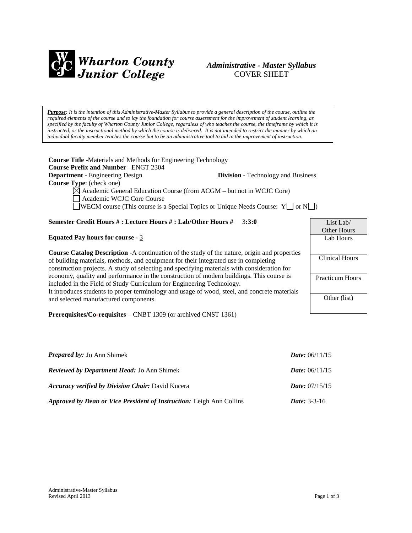

# *Administrative - Master Syllabus*  COVER SHEET

*Purpose: It is the intention of this Administrative-Master Syllabus to provide a general description of the course, outline the required elements of the course and to lay the foundation for course assessment for the improvement of student learning, as specified by the faculty of Wharton County Junior College, regardless of who teaches the course, the timeframe by which it is instructed, or the instructional method by which the course is delivered. It is not intended to restrict the manner by which an individual faculty member teaches the course but to be an administrative tool to aid in the improvement of instruction.*

**Course Title** -Materials and Methods for Engineering Technology **Course Prefix and Number** –ENGT 2304 **Department** - Engineering Design **Division** - Technology and Business **Course Type**: (check one)  $\boxtimes$  Academic General Education Course (from ACGM – but not in WCJC Core) Academic WCJC Core Course WECM course (This course is a Special Topics or Unique Needs Course:  $Y \Box$  or  $N \Box$ )

# **Semester Credit Hours # : Lecture Hours # : Lab/Other Hours #** 3**:3:0**

**Equated Pay hours for course** - 3

**Course Catalog Description** -A continuation of the study of the nature, origin and properties of building materials, methods, and equipment for their integrated use in completing construction projects. A study of selecting and specifying materials with consideration for economy, quality and performance in the construction of modern buildings. This course is included in the Field of Study Curriculum for Engineering Technology. It introduces students to proper terminology and usage of wood, steel, and concrete materials and selected manufactured components.

**Prerequisites/Co-requisites** – CNBT 1309 (or archived CNST 1361)

| <b>Prepared by:</b> Jo Ann Shimek                                    | <i>Date:</i> $06/11/15$ |
|----------------------------------------------------------------------|-------------------------|
| <b>Reviewed by Department Head:</b> Jo Ann Shimek                    | <i>Date:</i> $06/11/15$ |
| <b>Accuracy verified by Division Chair: David Kucera</b>             | <i>Date:</i> $07/15/15$ |
| Approved by Dean or Vice President of Instruction: Leigh Ann Collins | <i>Date:</i> $3-3-16$   |

| List Lab/              |
|------------------------|
| Other Hours            |
| Lab Hours              |
|                        |
| <b>Clinical Hours</b>  |
|                        |
| <b>Practicum Hours</b> |
|                        |
| Other (list)           |
|                        |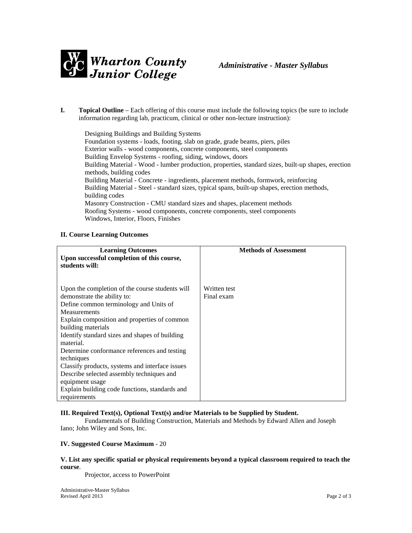

**I. Topical Outline** – Each offering of this course must include the following topics (be sure to include information regarding lab, practicum, clinical or other non-lecture instruction):

Designing Buildings and Building Systems Foundation systems - loads, footing, slab on grade, grade beams, piers, piles Exterior walls - wood components, concrete components, steel components Building Envelop Systems - roofing, siding, windows, doors Building Material - Wood - lumber production, properties, standard sizes, built-up shapes, erection methods, building codes Building Material - Concrete - ingredients, placement methods, formwork, reinforcing Building Material - Steel - standard sizes, typical spans, built-up shapes, erection methods, building codes Masonry Construction - CMU standard sizes and shapes, placement methods Roofing Systems - wood components, concrete components, steel components Windows, Interior, Floors, Finishes

#### **II. Course Learning Outcomes**

| <b>Learning Outcomes</b><br>Upon successful completion of this course,<br>students will:                                                                                                                                                                                                                                                                                                                                                                                                                                                | <b>Methods of Assessment</b> |
|-----------------------------------------------------------------------------------------------------------------------------------------------------------------------------------------------------------------------------------------------------------------------------------------------------------------------------------------------------------------------------------------------------------------------------------------------------------------------------------------------------------------------------------------|------------------------------|
| Upon the completion of the course students will<br>demonstrate the ability to:<br>Define common terminology and Units of<br><b>Measurements</b><br>Explain composition and properties of common<br>building materials<br>Identify standard sizes and shapes of building<br>material.<br>Determine conformance references and testing<br>techniques<br>Classify products, systems and interface issues<br>Describe selected assembly techniques and<br>equipment usage<br>Explain building code functions, standards and<br>requirements | Written test<br>Final exam   |

#### **III. Required Text(s), Optional Text(s) and/or Materials to be Supplied by Student.**

Fundamentals of Building Construction, Materials and Methods by Edward Allen and Joseph Iano; John Wiley and Sons, Inc.

#### **IV. Suggested Course Maximum** - 20

#### **V. List any specific spatial or physical requirements beyond a typical classroom required to teach the course**.

Projector, access to PowerPoint